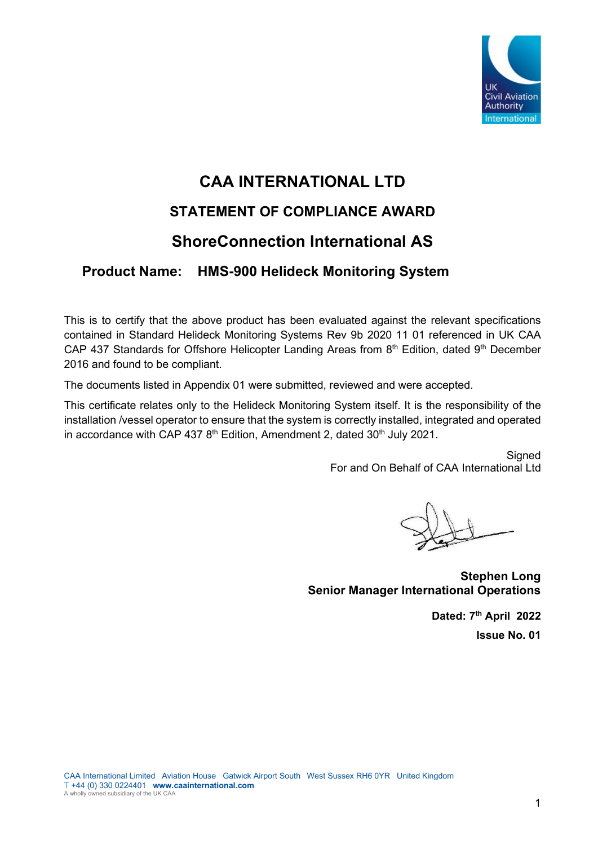

## **CAA INTERNATIONAL LTD STATEMENT OF COMPLIANCE AWARD**

## **ShoreConnection International AS**

## **Product Name: HMS-900 Helideck Monitoring System**

This is to certify that the above product has been evaluated against the relevant specifications contained in Standard Helideck Monitoring Systems Rev 9b 2020 11 01 referenced in UK CAA CAP 437 Standards for Offshore Helicopter Landing Areas from  $8<sup>th</sup>$  Edition, dated  $9<sup>th</sup>$  December 2016 and found to be compliant.

The documents listed in Appendix 01 were submitted, reviewed and were accepted.

This certificate relates only to the Helideck Monitoring System itself. It is the responsibility of the installation /vessel operator to ensure that the system is correctly installed, integrated and operated in accordance with CAP 437  $8<sup>th</sup>$  Edition, Amendment 2, dated  $30<sup>th</sup>$  July 2021.

> **Signed** For and On Behalf of CAA International Ltd

**Stephen Long Senior Manager International Operations**

**Dated: 7th April 2022 Issue No. 01**